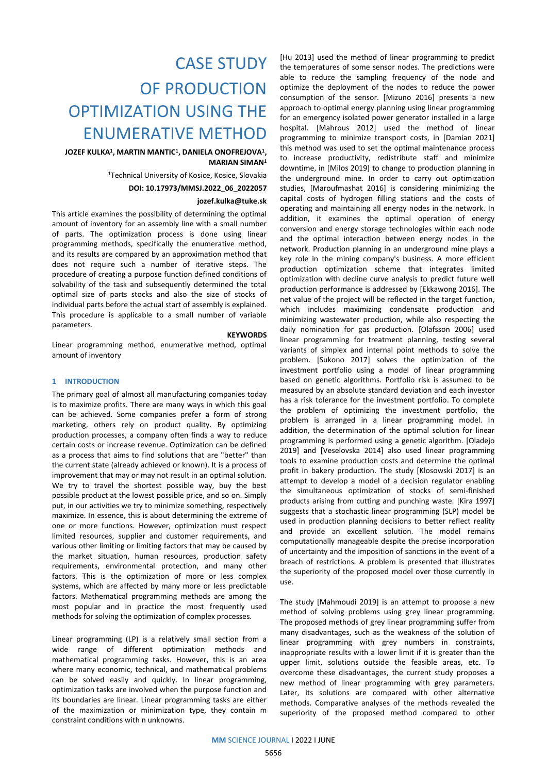# CASE STUDY OF PRODUCTION OPTIMIZATION USING THE ENUMERATIVE METHOD

## **JOZEF KULKA<sup>1</sup> , MARTIN MANTIC 1 , DANIELA ONOFREJOVA<sup>1</sup> , MARIAN SIMAN<sup>1</sup>**

<sup>1</sup>Technical University of Kosice, Kosice, Slovakia

**DOI: 10.17973/MMSJ.2022\_06\_2022057** 

### **jozef.kulka@tuke.sk**

This article examines the possibility of determining the optimal amount of inventory for an assembly line with a small number of parts. The optimization process is done using linear programming methods, specifically the enumerative method, and its results are compared by an approximation method that does not require such a number of iterative steps. The procedure of creating a purpose function defined conditions of solvability of the task and subsequently determined the total optimal size of parts stocks and also the size of stocks of individual parts before the actual start of assembly is explained. This procedure is applicable to a small number of variable parameters.

#### **KEYWORDS**

Linear programming method, enumerative method, optimal amount of inventory

## **1 INTRODUCTION**

The primary goal of almost all manufacturing companies today is to maximize profits. There are many ways in which this goal can be achieved. Some companies prefer a form of strong marketing, others rely on product quality. By optimizing production processes, a company often finds a way to reduce certain costs or increase revenue. Optimization can be defined as a process that aims to find solutions that are "better" than the current state (already achieved or known). It is a process of improvement that may or may not result in an optimal solution. We try to travel the shortest possible way, buy the best possible product at the lowest possible price, and so on. Simply put, in our activities we try to minimize something, respectively maximize. In essence, this is about determining the extreme of one or more functions. However, optimization must respect limited resources, supplier and customer requirements, and various other limiting or limiting factors that may be caused by the market situation, human resources, production safety requirements, environmental protection, and many other factors. This is the optimization of more or less complex systems, which are affected by many more or less predictable factors. Mathematical programming methods are among the most popular and in practice the most frequently used methods for solving the optimization of complex processes.

Linear programming (LP) is a relatively small section from a wide range of different optimization methods and mathematical programming tasks. However, this is an area where many economic, technical, and mathematical problems can be solved easily and quickly. In linear programming, optimization tasks are involved when the purpose function and its boundaries are linear. Linear programming tasks are either of the maximization or minimization type, they contain m constraint conditions with n unknowns.

[Hu 2013] used the method of linear programming to predict the temperatures of some sensor nodes. The predictions were able to reduce the sampling frequency of the node and optimize the deployment of the nodes to reduce the power consumption of the sensor. [Mizuno 2016] presents a new approach to optimal energy planning using linear programming for an emergency isolated power generator installed in a large hospital. [Mahrous 2012] used the method of linear programming to minimize transport costs, in [Damian 2021] this method was used to set the optimal maintenance process to increase productivity, redistribute staff and minimize downtime, in [Milos 2019] to change to production planning in the underground mine. In order to carry out optimization studies, [Maroufmashat 2016] is considering minimizing the capital costs of hydrogen filling stations and the costs of operating and maintaining all energy nodes in the network. In addition, it examines the optimal operation of energy conversion and energy storage technologies within each node and the optimal interaction between energy nodes in the network. Production planning in an underground mine plays a key role in the mining company's business. A more efficient production optimization scheme that integrates limited optimization with decline curve analysis to predict future well production performance is addressed by [Ekkawong 2016]. The net value of the project will be reflected in the target function, which includes maximizing condensate production and minimizing wastewater production, while also respecting the daily nomination for gas production. [Olafsson 2006] used linear programming for treatment planning, testing several variants of simplex and internal point methods to solve the problem. [Sukono 2017] solves the optimization of the investment portfolio using a model of linear programming based on genetic algorithms. Portfolio risk is assumed to be measured by an absolute standard deviation and each investor has a risk tolerance for the investment portfolio. To complete the problem of optimizing the investment portfolio, the problem is arranged in a linear programming model. In addition, the determination of the optimal solution for linear programming is performed using a genetic algorithm. [Oladejo 2019] and [Veselovska 2014] also used linear programming tools to examine production costs and determine the optimal profit in bakery production. The study [Klosowski 2017] is an attempt to develop a model of a decision regulator enabling the simultaneous optimization of stocks of semi-finished products arising from cutting and punching waste. [Kira 1997] suggests that a stochastic linear programming (SLP) model be used in production planning decisions to better reflect reality and provide an excellent solution. The model remains computationally manageable despite the precise incorporation of uncertainty and the imposition of sanctions in the event of a breach of restrictions. A problem is presented that illustrates the superiority of the proposed model over those currently in use.

The study [Mahmoudi 2019] is an attempt to propose a new method of solving problems using grey linear programming. The proposed methods of grey linear programming suffer from many disadvantages, such as the weakness of the solution of linear programming with grey numbers in constraints, inappropriate results with a lower limit if it is greater than the upper limit, solutions outside the feasible areas, etc. To overcome these disadvantages, the current study proposes a new method of linear programming with grey parameters. Later, its solutions are compared with other alternative methods. Comparative analyses of the methods revealed the superiority of the proposed method compared to other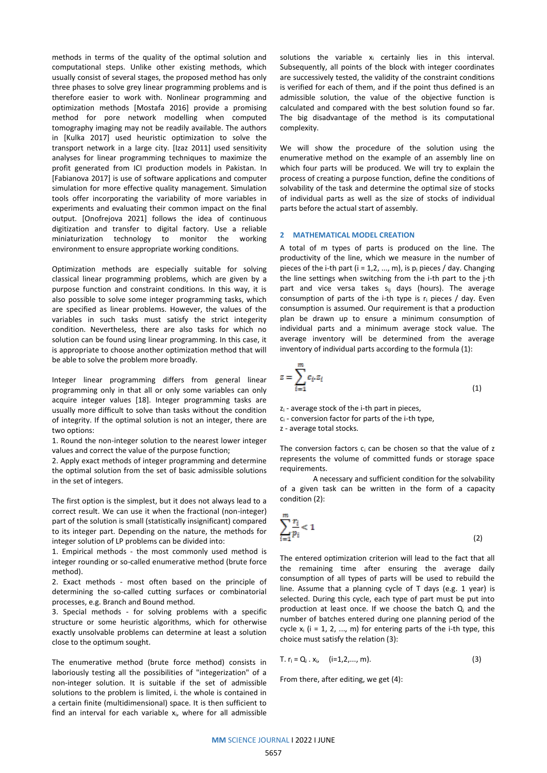methods in terms of the quality of the optimal solution and computational steps. Unlike other existing methods, which usually consist of several stages, the proposed method has only three phases to solve grey linear programming problems and is therefore easier to work with. Nonlinear programming and optimization methods [Mostafa 2016] provide a promising method for pore network modelling when computed tomography imaging may not be readily available. The authors in [Kulka 2017] used heuristic optimization to solve the transport network in a large city. [Izaz 2011] used sensitivity analyses for linear programming techniques to maximize the profit generated from ICI production models in Pakistan. In [Fabianova 2017] is use of software applications and computer simulation for more effective quality management. Simulation tools offer incorporating the variability of more variables in experiments and evaluating their common impact on the final output. [Onofrejova 2021] follows the idea of continuous digitization and transfer to digital factory. Use a reliable miniaturization technology to monitor the working environment to ensure appropriate working conditions.

Optimization methods are especially suitable for solving classical linear programming problems, which are given by a purpose function and constraint conditions. In this way, it is also possible to solve some integer programming tasks, which are specified as linear problems. However, the values of the variables in such tasks must satisfy the strict integerity condition. Nevertheless, there are also tasks for which no solution can be found using linear programming. In this case, it is appropriate to choose another optimization method that will be able to solve the problem more broadly.

Integer linear programming differs from general linear programming only in that all or only some variables can only acquire integer values [18]. Integer programming tasks are usually more difficult to solve than tasks without the condition of integrity. If the optimal solution is not an integer, there are two options:

1. Round the non-integer solution to the nearest lower integer values and correct the value of the purpose function;

2. Apply exact methods of integer programming and determine the optimal solution from the set of basic admissible solutions in the set of integers.

The first option is the simplest, but it does not always lead to a correct result. We can use it when the fractional (non-integer) part of the solution is small (statistically insignificant) compared to its integer part. Depending on the nature, the methods for integer solution of LP problems can be divided into:

1. Empirical methods - the most commonly used method is integer rounding or so-called enumerative method (brute force method).

2. Exact methods - most often based on the principle of determining the so-called cutting surfaces or combinatorial processes, e.g. Branch and Bound method.

3. Special methods - for solving problems with a specific structure or some heuristic algorithms, which for otherwise exactly unsolvable problems can determine at least a solution close to the optimum sought.

The enumerative method (brute force method) consists in laboriously testing all the possibilities of "integerization" of a non-integer solution. It is suitable if the set of admissible solutions to the problem is limited, i. the whole is contained in a certain finite (multidimensional) space. It is then sufficient to find an interval for each variable  $x_i$ , where for all admissible

solutions the variable  $x_i$  certainly lies in this interval. Subsequently, all points of the block with integer coordinates are successively tested, the validity of the constraint conditions is verified for each of them, and if the point thus defined is an admissible solution, the value of the objective function is calculated and compared with the best solution found so far. The big disadvantage of the method is its computational complexity.

We will show the procedure of the solution using the enumerative method on the example of an assembly line on which four parts will be produced. We will try to explain the process of creating a purpose function, define the conditions of solvability of the task and determine the optimal size of stocks of individual parts as well as the size of stocks of individual parts before the actual start of assembly.

## **2 MATHEMATICAL MODEL CREATION**

A total of m types of parts is produced on the line. The productivity of the line, which we measure in the number of pieces of the i-th part ( $i = 1, 2, ..., m$ ), is  $p_i$  pieces / day. Changing the line settings when switching from the i-th part to the j-th part and vice versa takes s<sub>ij</sub> days (hours). The average consumption of parts of the i-th type is  $r_i$  pieces / day. Even consumption is assumed. Our requirement is that a production plan be drawn up to ensure a minimum consumption of individual parts and a minimum average stock value. The average inventory will be determined from the average inventory of individual parts according to the formula (1):

$$
z = \sum_{i=1}^{m} c_i z_i \tag{1}
$$

z<sup>i</sup> - average stock of the i-th part in pieces,

 $c_i$  - conversion factor for parts of the i-th type,

z - average total stocks.

The conversion factors  $c_i$  can be chosen so that the value of  $z$ represents the volume of committed funds or storage space requirements.

A necessary and sufficient condition for the solvability of a given task can be written in the form of a capacity condition (2):

$$
\sum_{i=1}^{m} \frac{r_i}{p_i} < 1\tag{2}
$$

The entered optimization criterion will lead to the fact that all the remaining time after ensuring the average daily consumption of all types of parts will be used to rebuild the line. Assume that a planning cycle of T days (e.g. 1 year) is selected. During this cycle, each type of part must be put into production at least once. If we choose the batch  $Q_i$  and the number of batches entered during one planning period of the cycle  $x_i$  (i = 1, 2, ..., m) for entering parts of the i-th type, this choice must satisfy the relation (3):

T. 
$$
r_i = Q_i \cdot x_i
$$
,  $(i=1,2,..., m)$ . (3)

From there, after editing, we get (4):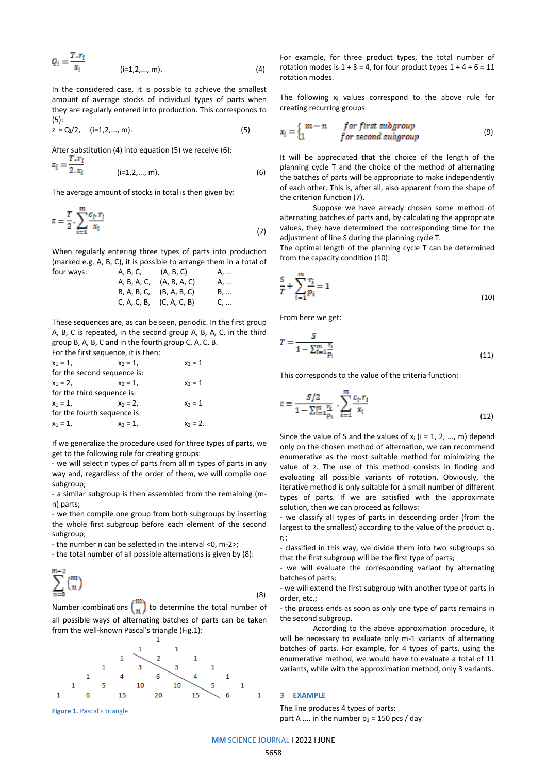$$
Q_i = \frac{T \cdot r_i}{x_i} \tag{4}
$$

In the considered case, it is possible to achieve the smallest amount of average stocks of individual types of parts when they are regularly entered into production. This corresponds to (5):

$$
z_i = Q_i/2, \quad (i=1,2,...,m).
$$
 (5)

After substitution (4) into equation (5) we receive (6):

$$
z_i = \frac{z_i}{2 \cdot x_i} \qquad (i=1,2,...,m). \qquad (6)
$$

The average amount of stocks in total is then given by:

$$
z = \frac{T}{2} \cdot \sum_{i=1}^{m} \frac{c_i \cdot r_i}{x_i}
$$
 (7)

When regularly entering three types of parts into production (marked e.g. A, B, C), it is possible to arrange them in a total of four ways:

A, B, A, C, (A, B, A, C) A, ... B, A, B, C, (B, A, B, C) B, ... C, A, C, B, (C, A, C, B) C, ...

These sequences are, as can be seen, periodic. In the first group A, B, C is repeated, in the second group A, B, A, C, in the third group B, A, B, C and in the fourth group C, A, C, B. For the first sequence, it is then:

$$
x_1 = 1, \t x_2 = 1, \t x_3 = 1
$$
  
for the second sequence is:  

$$
x_1 = 2, \t x_2 = 1, \t x_3 = 1
$$
  
for the third sequence is:  

$$
x_1 = 1, \t x_2 = 2, \t x_3 = 1
$$
  
for the fourth sequence is:  

$$
x_1 = 1, \t x_2 = 1, \t x_3 = 2.
$$

If we generalize the procedure used for three types of parts, we get to the following rule for creating groups:

- we will select n types of parts from all m types of parts in any way and, regardless of the order of them, we will compile one subgroup;

- a similar subgroup is then assembled from the remaining (mn) parts;

- we then compile one group from both subgroups by inserting the whole first subgroup before each element of the second subgroup;

- the number n can be selected in the interval <0, m-2>;

- the total number of all possible alternations is given by (8):

$$
\sum_{n=0}^{m-2} {m \choose n}
$$
 (8)

Number combinations  $\binom{n}{n}$  to determine the total number of all possible ways of alternating batches of parts can be taken from the well-known Pascal's triangle (Fig.1):



**Figure 1.** Pascal´s triangle

For example, for three product types, the total number of rotation modes is  $1 + 3 = 4$ , for four product types  $1 + 4 + 6 = 11$ rotation modes.

The following  $x_i$  values correspond to the above rule for creating recurring groups:

$$
x_i = \begin{cases} m-n & \text{for first subgroup} \\ 1 & \text{for second subgroup} \end{cases}
$$
 (9)

It will be appreciated that the choice of the length of the planning cycle T and the choice of the method of alternating the batches of parts will be appropriate to make independently of each other. This is, after all, also apparent from the shape of the criterion function (7).

Suppose we have already chosen some method of alternating batches of parts and, by calculating the appropriate values, they have determined the corresponding time for the adjustment of line S during the planning cycle T.

The optimal length of the planning cycle T can be determined from the capacity condition (10):

$$
\frac{S}{T} + \sum_{i=1}^{m} \frac{r_i}{p_i} = 1
$$
\n(10)

From here we get:

$$
T = \frac{S}{1 - \sum_{i=1}^{m} \frac{r_i}{p_i}}\tag{11}
$$

This corresponds to the value of the criteria function:

$$
z = \frac{S/2}{1 - \sum_{i=1}^{m} \frac{r_i}{p_i}} \cdot \sum_{i=1}^{m} \frac{c_i r_i}{x_i}
$$
(12)

Since the value of S and the values of  $x_i$  (i = 1, 2, ..., m) depend only on the chosen method of alternation, we can recommend enumerative as the most suitable method for minimizing the value of z. The use of this method consists in finding and evaluating all possible variants of rotation. Obviously, the iterative method is only suitable for a small number of different types of parts. If we are satisfied with the approximate solution, then we can proceed as follows:

- we classify all types of parts in descending order (from the largest to the smallest) according to the value of the product  $c_i$ . ri ;

- classified in this way, we divide them into two subgroups so that the first subgroup will be the first type of parts;

- we will evaluate the corresponding variant by alternating batches of parts;

- we will extend the first subgroup with another type of parts in order, etc.;

- the process ends as soon as only one type of parts remains in the second subgroup.

According to the above approximation procedure, it will be necessary to evaluate only m-1 variants of alternating batches of parts. For example, for 4 types of parts, using the enumerative method, we would have to evaluate a total of 11 variants, while with the approximation method, only 3 variants.

#### **3 EXAMPLE**

The line produces 4 types of parts: part A .... in the number  $p_1$  = 150 pcs / day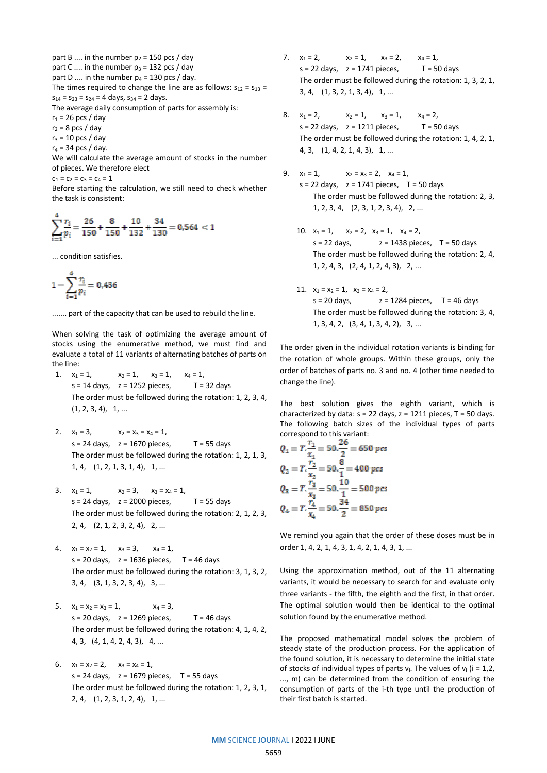part B .... in the number  $p_2 = 150$  pcs / day part C .... in the number  $p_3 = 132$  pcs / day part D .... in the number  $p_4 = 130$  pcs / day. The times required to change the line are as follows:  $s_{12} = s_{13} =$  $s_{14} = s_{23} = s_{24} = 4$  days,  $s_{34} = 2$  days. The average daily consumption of parts for assembly is:  $r_1$  = 26 pcs / day  $r_2$  = 8 pcs / day  $r_3$  = 10 pcs / day

 $r_4$  = 34 pcs / day.

We will calculate the average amount of stocks in the number of pieces. We therefore elect

 $c_1 = c_2 = c_3 = c_4 = 1$ 

Before starting the calculation, we still need to check whether the task is consistent:

$$
\sum_{i=1}^{4} \frac{r_i}{p_i} = \frac{26}{150} + \frac{8}{150} + \frac{10}{132} + \frac{34}{130} = 0.564 < 1
$$

... condition satisfies.

$$
1 - \sum_{i=1}^{4} \frac{r_i}{p_i} = 0.436
$$

....... part of the capacity that can be used to rebuild the line.

When solving the task of optimizing the average amount of stocks using the enumerative method, we must find and evaluate a total of 11 variants of alternating batches of parts on the line:

- 1.  $x_1 = 1$ ,  $x_2 = 1$ ,  $x_3 = 1$ ,  $x_4 = 1$ ,  $s = 14$  days,  $z = 1252$  pieces,  $T = 32$  days The order must be followed during the rotation: 1, 2, 3, 4,  $(1, 2, 3, 4), 1, ...$
- 2.  $x_1 = 3$ ,  $x_2 = x_3 = x_4 = 1$ ,  $s = 24 \text{ days}$ ,  $z = 1670 \text{ pieces}$ ,  $T = 55 \text{ days}$ The order must be followed during the rotation: 1, 2, 1, 3, 1, 4, (1, 2, 1, 3, 1, 4), 1, ...
- 3.  $x_1 = 1$ ,  $x_2 = 3$ ,  $x_3 = x_4 = 1$ ,  $s = 24$  days,  $z = 2000$  pieces,  $T = 55$  days The order must be followed during the rotation: 2, 1, 2, 3, 2, 4, (2, 1, 2, 3, 2, 4), 2, ...
- 4.  $x_1 = x_2 = 1$ ,  $x_3 = 3$ ,  $x_4 = 1$ ,  $s = 20$  days,  $z = 1636$  pieces,  $T = 46$  days The order must be followed during the rotation: 3, 1, 3, 2, 3, 4, (3, 1, 3, 2, 3, 4), 3, ...
- 5.  $x_1 = x_2 = x_3 = 1$ ,  $x_4 = 3$ ,  $s = 20$  days,  $z = 1269$  pieces,  $T = 46$  days The order must be followed during the rotation: 4, 1, 4, 2, 4, 3, (4, 1, 4, 2, 4, 3), 4, ...
- 6.  $x_1 = x_2 = 2$ ,  $x_3 = x_4 = 1$ ,  $s = 24 \text{ days}$ ,  $z = 1679 \text{ pieces}$ ,  $T = 55 \text{ days}$ The order must be followed during the rotation: 1, 2, 3, 1, 2, 4, (1, 2, 3, 1, 2, 4), 1, ...
- 7.  $x_1 = 2$ ,  $x_2 = 1$ ,  $x_3 = 2$ ,  $x_4 = 1$ ,  $s = 22$  days,  $z = 1741$  pieces,  $T = 50$  days The order must be followed during the rotation: 1, 3, 2, 1, 3, 4, (1, 3, 2, 1, 3, 4), 1, ...
- 8.  $x_1 = 2$ ,  $x_2 = 1$ ,  $x_3 = 1$ ,  $x_4 = 2$ ,  $s = 22$  days,  $z = 1211$  pieces,  $T = 50$  days The order must be followed during the rotation: 1, 4, 2, 1, 4, 3, (1, 4, 2, 1, 4, 3), 1, ...
- 9.  $x_1 = 1$ ,  $x_2 = x_3 = 2$ ,  $x_4 = 1$ ,  $s = 22$  days,  $z = 1741$  pieces,  $T = 50$  days The order must be followed during the rotation: 2, 3, 1, 2, 3, 4, (2, 3, 1, 2, 3, 4), 2, ...
	- 10.  $x_1 = 1$ ,  $x_2 = 2$ ,  $x_3 = 1$ ,  $x_4 = 2$ ,  $s = 22 \text{ days}$ ,  $z = 1438 \text{ pieces}$ ,  $T = 50 \text{ days}$ The order must be followed during the rotation: 2, 4, 1, 2, 4, 3, (2, 4, 1, 2, 4, 3), 2, ...
	- 11.  $x_1 = x_2 = 1$ ,  $x_3 = x_4 = 2$ ,  $s = 20$  days,  $z = 1284$  pieces,  $T = 46$  days The order must be followed during the rotation: 3, 4, 1, 3, 4, 2, (3, 4, 1, 3, 4, 2), 3, ...

The order given in the individual rotation variants is binding for the rotation of whole groups. Within these groups, only the order of batches of parts no. 3 and no. 4 (other time needed to change the line).

The best solution gives the eighth variant, which is characterized by data:  $s = 22$  days,  $z = 1211$  pieces,  $T = 50$  days. The following batch sizes of the individual types of parts correspond to this variant:

$$
Q_1 = T.\frac{r_1}{x_1} = 50.\frac{26}{2} = 650 \text{ } pc\text{s}
$$
\n
$$
Q_2 = T.\frac{r_2}{x_2} = 50.\frac{8}{1} = 400 \text{ } pc\text{s}
$$
\n
$$
Q_3 = T.\frac{r_3}{x_3} = 50.\frac{10}{1} = 500 \text{ } pc\text{s}
$$
\n
$$
Q_4 = T.\frac{r_4}{x_4} = 50.\frac{34}{2} = 850 \text{ } pc\text{s}
$$

We remind you again that the order of these doses must be in order 1, 4, 2, 1, 4, 3, 1, 4, 2, 1, 4, 3, 1, ...

Using the approximation method, out of the 11 alternating variants, it would be necessary to search for and evaluate only three variants - the fifth, the eighth and the first, in that order. The optimal solution would then be identical to the optimal solution found by the enumerative method.

The proposed mathematical model solves the problem of steady state of the production process. For the application of the found solution, it is necessary to determine the initial state of stocks of individual types of parts  $v_i$ . The values of  $v_i$  (i = 1,2, ..., m) can be determined from the condition of ensuring the consumption of parts of the i-th type until the production of their first batch is started.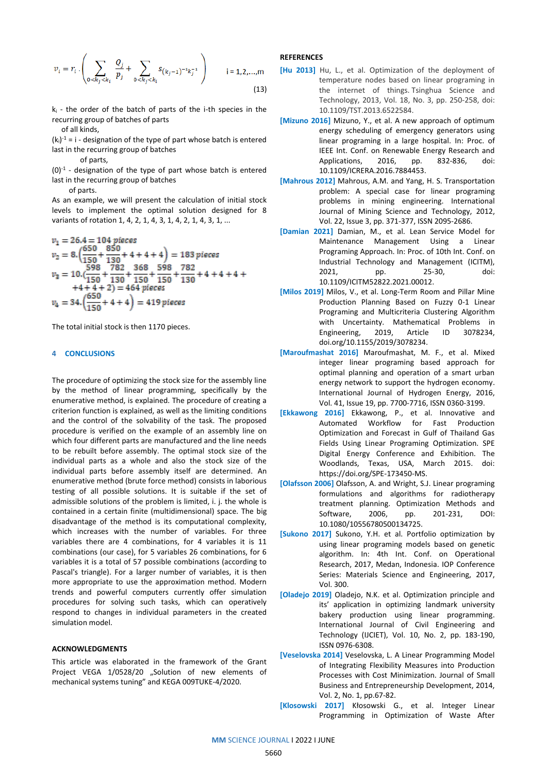$$
v_i = r_i \cdot \left( \sum_{0 \le k_j \le k_i} \frac{Q_j}{p_j} + \sum_{0 \le k_j \le k_i} s_{(k_j - 1)^{-1}k_j^{-1}} \right) \qquad i = 1, 2, ..., m
$$
\n(13)

 $k_i$  - the order of the batch of parts of the i-th species in the recurring group of batches of parts of all kinds,

 $(k<sub>i</sub>)<sup>-1</sup> = i - designation of the type of part whose batch is entered$ last in the recurring group of batches

of parts,

 $(0)^{-1}$  - designation of the type of part whose batch is entered last in the recurring group of batches

of parts.

As an example, we will present the calculation of initial stock levels to implement the optimal solution designed for 8 variants of rotation 1, 4, 2, 1, 4, 3, 1, 4, 2, 1, 4, 3, 1, ...

$$
v_1 = 26.4 = 104 \text{ pieces}
$$
  
\n
$$
v_2 = 8.\left(\frac{650}{150} + \frac{850}{130} + 4 + 4 + 4\right) = 183 \text{ pieces}
$$
  
\n
$$
v_3 = 10.\left(\frac{598}{150} + \frac{782}{130} + \frac{368}{150} + \frac{598}{150} + \frac{782}{130} + 4 + 4 + 4 + 4\right)
$$
  
\n
$$
+4 + 4 + 2) = 464 \text{ pieces}
$$
  
\n
$$
v_4 = 34.\left(\frac{650}{150} + 4 + 4\right) = 419 \text{ pieces}
$$

The total initial stock is then 1170 pieces.

## **4 CONCLUSIONS**

The procedure of optimizing the stock size for the assembly line by the method of linear programming, specifically by the enumerative method, is explained. The procedure of creating a criterion function is explained, as well as the limiting conditions and the control of the solvability of the task. The proposed procedure is verified on the example of an assembly line on which four different parts are manufactured and the line needs to be rebuilt before assembly. The optimal stock size of the individual parts as a whole and also the stock size of the individual parts before assembly itself are determined. An enumerative method (brute force method) consists in laborious testing of all possible solutions. It is suitable if the set of admissible solutions of the problem is limited, i. j. the whole is contained in a certain finite (multidimensional) space. The big disadvantage of the method is its computational complexity, which increases with the number of variables. For three variables there are 4 combinations, for 4 variables it is 11 combinations (our case), for 5 variables 26 combinations, for 6 variables it is a total of 57 possible combinations (according to Pascal's triangle). For a larger number of variables, it is then more appropriate to use the approximation method. Modern trends and powerful computers currently offer simulation procedures for solving such tasks, which can operatively respond to changes in individual parameters in the created simulation model.

## **ACKNOWLEDGMENTS**

This article was elaborated in the framework of the Grant Project VEGA 1/0528/20 "Solution of new elements of mechanical systems tuning" and KEGA 009TUKE-4/2020.

## **REFERENCES**

- **[Hu 2013]** Hu, L., et al. Optimization of the deployment of temperature nodes based on linear programing in the internet of things. Tsinghua Science and Technology, 2013, Vol. 18, No. 3, pp. 250-258, doi: 10.1109/TST.2013.6522584.
- **[Mizuno 2016]** Mizuno, Y., et al. A new approach of optimum energy scheduling of emergency generators using linear programing in a large hospital. In: Proc. of IEEE Int. Conf. on Renewable Energy Research and Applications, 2016, pp. 832-836, doi: 10.1109/ICRERA.2016.7884453.
- **[Mahrous 2012]** Mahrous, A.M. and Yang, H. S. Transportation problem: A special case for linear programing problems in mining engineering. International Journal of Mining Science and Technology, 2012, Vol. 22, Issue 3, pp. 371-377, ISSN 2095-2686.
- **[Damian 2021]** Damian, M., et al. Lean Service Model for Maintenance Management Using a Linear Programing Approach. In: Proc. of 10th Int. Conf. on Industrial Technology and Management (ICITM), 2021, pp. 25-30, doi: 10.1109/ICITM52822.2021.00012.
- **[Milos 2019]** Milos, V., et al. Long-Term Room and Pillar Mine Production Planning Based on Fuzzy 0-1 Linear Programing and Multicriteria Clustering Algorithm with Uncertainty. Mathematical Problems in Engineering, 2019, Article ID 3078234, doi.org/10.1155/2019/3078234.
- **[Maroufmashat 2016]** Maroufmashat, M. F., et al. Mixed integer linear programing based approach for optimal planning and operation of a smart urban energy network to support the hydrogen economy. International Journal of Hydrogen Energy, 2016, Vol. 41, Issue 19, pp. 7700-7716, ISSN 0360-3199.
- **[Ekkawong 2016]** Ekkawong, P., et al. Innovative and Automated Workflow for Fast Production Optimization and Forecast in Gulf of Thailand Gas Fields Using Linear Programing Optimization. SPE Digital Energy Conference and Exhibition. The Woodlands, Texas, USA, March 2015. doi: https://doi.org/SPE-173450-MS.
- **[Olafsson 2006]** Olafsson, A. and Wright, S.J. Linear programing formulations and algorithms for radiotherapy treatment planning. Optimization Methods and Software, 2006, pp. 201-231, DOI: 10.1080/10556780500134725.
- **[Sukono 2017]** Sukono, Y.H. et al. Portfolio optimization by using linear programing models based on genetic algorithm. In: 4th Int. Conf. on Operational Research, 2017, Medan, Indonesia. IOP Conference Series: Materials Science and Engineering, 2017, Vol. 300.
- **[Oladejo 2019]** Oladejo, N.K. et al. Optimization principle and its' application in optimizing landmark university bakery production using linear programming. International Journal of Civil Engineering and Technology (IJCIET), Vol. 10, No. 2, pp. 183-190, ISSN 0976-6308.
- **[Veselovska 2014]** Veselovska, L. A Linear Programming Model of Integrating Flexibility Measures into Production Processes with Cost Minimization. Journal of Small Business and Entrepreneurship Development, 2014, Vol. 2, No. 1, pp.67-82.
- **[Klosowski 2017]** Kłosowski G., et al. Integer Linear Programming in Optimization of Waste After